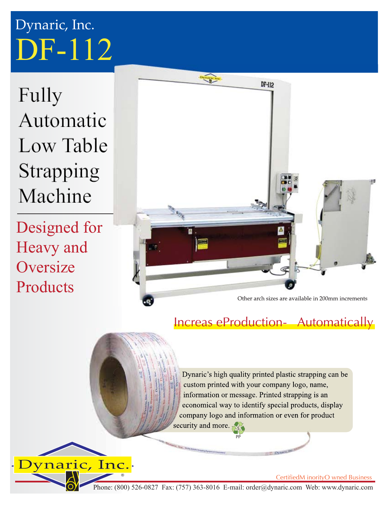## DF-112 Dynaric, Inc.

Fully Automatic Low Table Strapping Machine

Designed for Heavy and **Oversize Products** 



## Increas eProduction- Automatically

Dynaric's high quality printed plastic strapping can be custom printed with your company logo, name, information or message. Printed strapping is an economical way to identify special products, display company logo and information or even for product

security and more.

Dynaric, Inc.

Phone: (800) 526-0827 Fax: (757) 363-8016 E-mail: order@dynaric.com Web: www.dynaric.com

PP